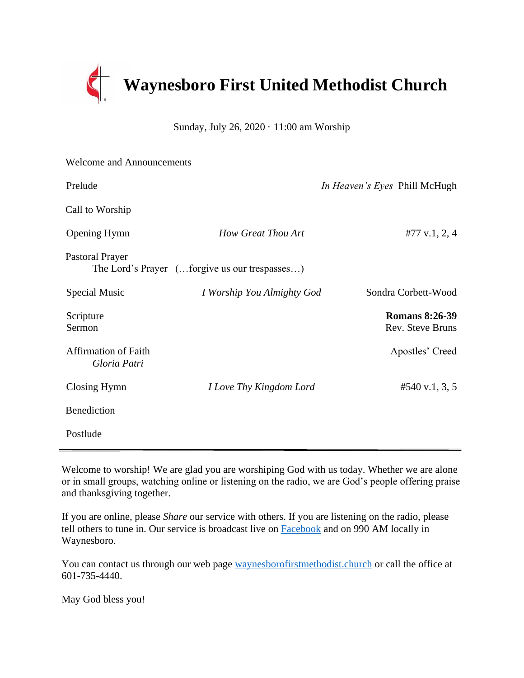

Sunday, July 26, 2020 · 11:00 am Worship

| <b>Welcome and Announcements</b>            |                                               |                                           |
|---------------------------------------------|-----------------------------------------------|-------------------------------------------|
| Prelude                                     |                                               | In Heaven's Eyes Phill McHugh             |
| Call to Worship                             |                                               |                                           |
| <b>Opening Hymn</b>                         | <b>How Great Thou Art</b>                     | #77 v.1, 2, 4                             |
| <b>Pastoral Prayer</b>                      | The Lord's Prayer (forgive us our trespasses) |                                           |
| Special Music                               | I Worship You Almighty God                    | Sondra Corbett-Wood                       |
| Scripture<br>Sermon                         |                                               | <b>Romans 8:26-39</b><br>Rev. Steve Bruns |
| <b>Affirmation of Faith</b><br>Gloria Patri |                                               | Apostles' Creed                           |
| Closing Hymn                                | I Love Thy Kingdom Lord                       | #540 v.1, 3, 5                            |
| Benediction                                 |                                               |                                           |
| Postlude                                    |                                               |                                           |

Welcome to worship! We are glad you are worshiping God with us today. Whether we are alone or in small groups, watching online or listening on the radio, we are God's people offering praise and thanksgiving together.

If you are online, please *Share* our service with others. If you are listening on the radio, please tell others to tune in. Our service is broadcast live on [Facebook](https://www.facebook.com/Waynesboro-First-United-Methodist-Church-175960185867306/?ref=aymt_homepage_panel&eid=ARCiQq_aJav80cdk6BUVVBeTeDB4_yY2ULELUZCwM-VBEc9Sy_7gLZgcuYbMI6x6sKzp4LHk9mYe5bCs) and on 990 AM locally in Waynesboro.

You can contact us through our web page [waynesborofirstmethodist.church](http://www.waynesborofirstmethodist.church/) or call the office at 601-735-4440.

May God bless you!